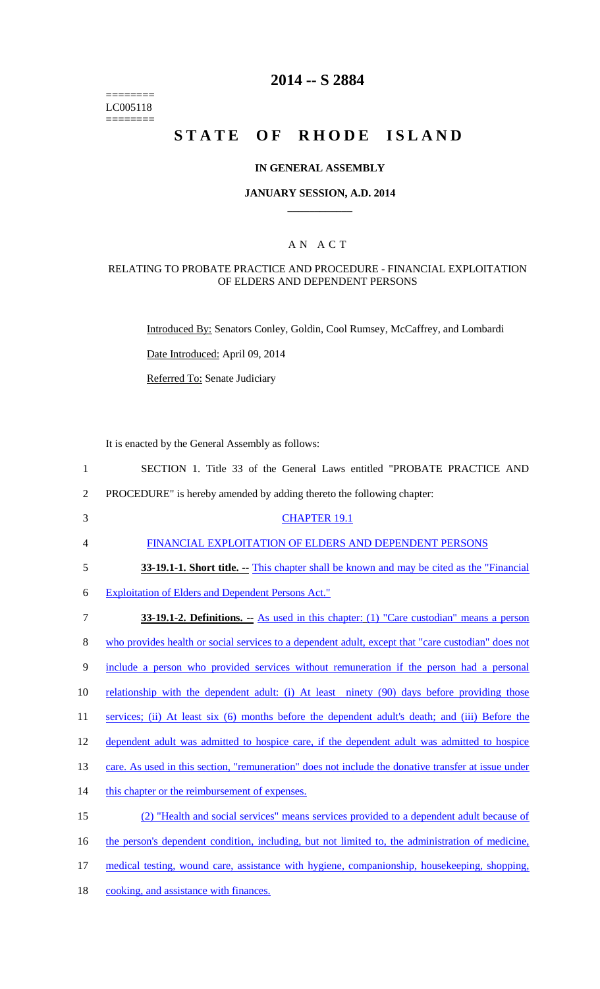======== LC005118 ========

## **2014 -- S 2884**

# **STATE OF RHODE ISLAND**

#### **IN GENERAL ASSEMBLY**

#### **JANUARY SESSION, A.D. 2014 \_\_\_\_\_\_\_\_\_\_\_\_**

## A N A C T

#### RELATING TO PROBATE PRACTICE AND PROCEDURE - FINANCIAL EXPLOITATION OF ELDERS AND DEPENDENT PERSONS

Introduced By: Senators Conley, Goldin, Cool Rumsey, McCaffrey, and Lombardi

Date Introduced: April 09, 2014

Referred To: Senate Judiciary

It is enacted by the General Assembly as follows:

- 2 PROCEDURE" is hereby amended by adding thereto the following chapter:
- 3 CHAPTER 19.1

4 FINANCIAL EXPLOITATION OF ELDERS AND DEPENDENT PERSONS

5 **33-19.1-1. Short title.** -- This chapter shall be known and may be cited as the "Financial"

6 Exploitation of Elders and Dependent Persons Act."

7 **33-19.1-2. Definitions. --** As used in this chapter: (1) "Care custodian" means a person 8 who provides health or social services to a dependent adult, except that "care custodian" does not 9 include a person who provided services without remuneration if the person had a personal 10 relationship with the dependent adult: (i) At least ninety (90) days before providing those 11 services; (ii) At least six (6) months before the dependent adult's death; and (iii) Before the 12 dependent adult was admitted to hospice care, if the dependent adult was admitted to hospice 13 care. As used in this section, "remuneration" does not include the donative transfer at issue under 14 this chapter or the reimbursement of expenses. 15 (2) "Health and social services" means services provided to a dependent adult because of 16 the person's dependent condition, including, but not limited to, the administration of medicine, 17 medical testing, wound care, assistance with hygiene, companionship, housekeeping, shopping, 18 cooking, and assistance with finances.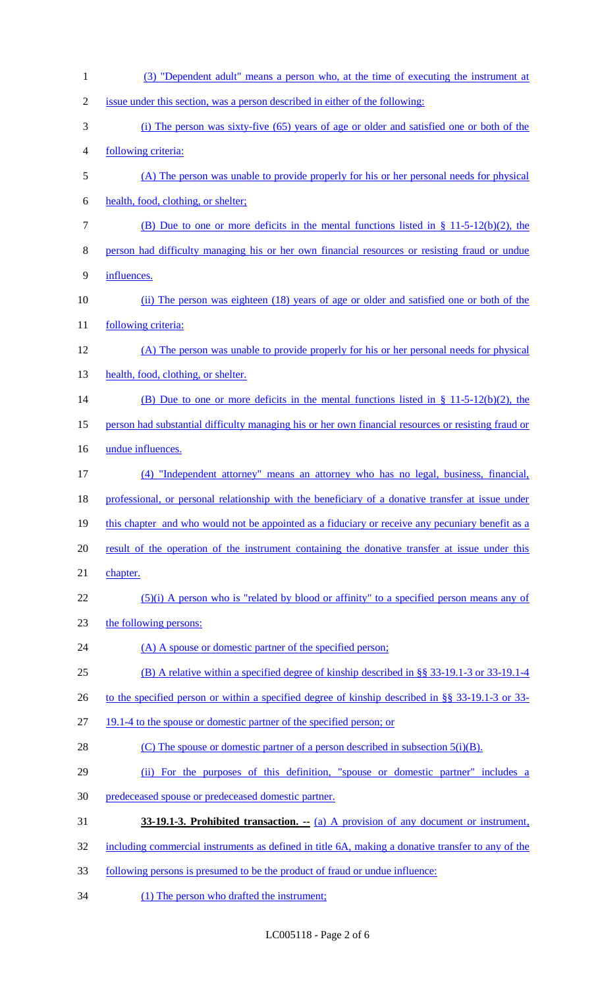| $\mathbf{1}$   | (3) "Dependent adult" means a person who, at the time of executing the instrument at                |
|----------------|-----------------------------------------------------------------------------------------------------|
| $\overline{2}$ | issue under this section, was a person described in either of the following:                        |
| 3              | (i) The person was sixty-five (65) years of age or older and satisfied one or both of the           |
| 4              | following criteria:                                                                                 |
| 5              | (A) The person was unable to provide properly for his or her personal needs for physical            |
| 6              | health, food, clothing, or shelter;                                                                 |
| 7              | (B) Due to one or more deficits in the mental functions listed in $\S 11-5-12(b)(2)$ , the          |
| 8              | person had difficulty managing his or her own financial resources or resisting fraud or undue       |
| 9              | influences.                                                                                         |
| 10             | (ii) The person was eighteen (18) years of age or older and satisfied one or both of the            |
| 11             | following criteria:                                                                                 |
| 12             | (A) The person was unable to provide properly for his or her personal needs for physical            |
| 13             | health, food, clothing, or shelter.                                                                 |
| 14             | (B) Due to one or more deficits in the mental functions listed in § 11-5-12(b)(2), the              |
| 15             | person had substantial difficulty managing his or her own financial resources or resisting fraud or |
| 16             | undue influences.                                                                                   |
| 17             | (4) "Independent attorney" means an attorney who has no legal, business, financial,                 |
| 18             | professional, or personal relationship with the beneficiary of a donative transfer at issue under   |
| 19             | this chapter and who would not be appointed as a fiduciary or receive any pecuniary benefit as a    |
| 20             | result of the operation of the instrument containing the donative transfer at issue under this      |
| 21             | chapter.                                                                                            |
| 22             | $(5)(i)$ A person who is "related by blood or affinity" to a specified person means any of          |
| 23             | the following persons:                                                                              |
| 24             | (A) A spouse or domestic partner of the specified person;                                           |
| 25             | (B) A relative within a specified degree of kinship described in §§ 33-19.1-3 or 33-19.1-4          |
| 26             | to the specified person or within a specified degree of kinship described in §§ 33-19.1-3 or 33-    |
| 27             | 19.1-4 to the spouse or domestic partner of the specified person; or                                |
| 28             | (C) The spouse or domestic partner of a person described in subsection $5(i)(B)$ .                  |
| 29             | (ii) For the purposes of this definition, "spouse or domestic partner" includes a                   |
| 30             | predeceased spouse or predeceased domestic partner.                                                 |
| 31             | 33-19.1-3. Prohibited transaction. $-$ (a) A provision of any document or instrument,               |
| 32             | including commercial instruments as defined in title 6A, making a donative transfer to any of the   |
| 33             | following persons is presumed to be the product of fraud or undue influence:                        |

(1) The person who drafted the instrument;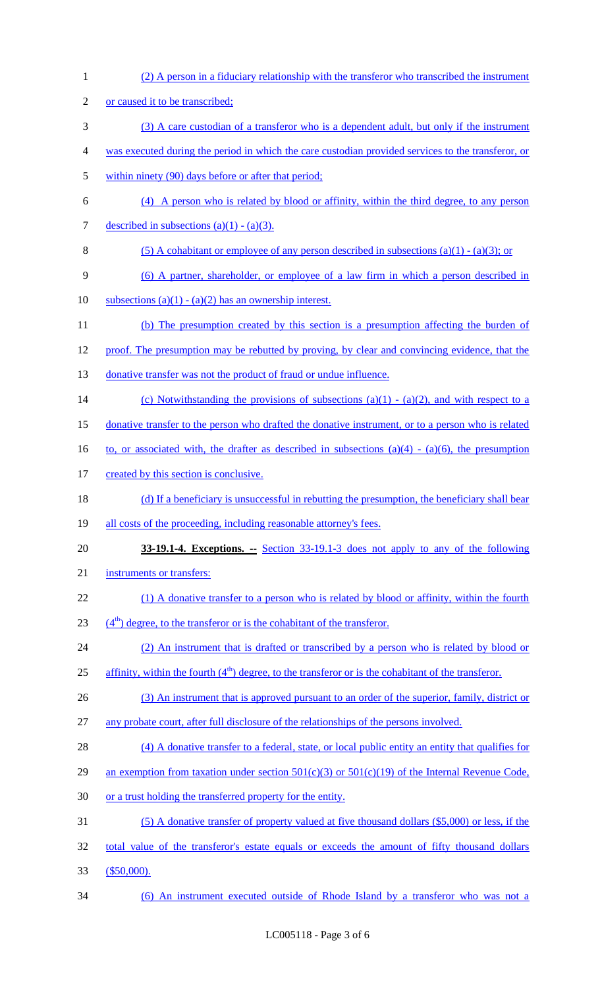| $\mathbf{1}$   | (2) A person in a fiduciary relationship with the transferor who transcribed the instrument           |
|----------------|-------------------------------------------------------------------------------------------------------|
| $\overline{2}$ | or caused it to be transcribed;                                                                       |
| 3              | (3) A care custodian of a transferor who is a dependent adult, but only if the instrument             |
| 4              | was executed during the period in which the care custodian provided services to the transferor, or    |
| 5              | within ninety (90) days before or after that period;                                                  |
| 6              | (4) A person who is related by blood or affinity, within the third degree, to any person              |
| 7              | described in subsections $(a)(1) - (a)(3)$ .                                                          |
| 8              | (5) A cohabitant or employee of any person described in subsections (a)(1) - (a)(3); or               |
| 9              | (6) A partner, shareholder, or employee of a law firm in which a person described in                  |
| 10             | subsections (a)(1) - (a)(2) has an ownership interest.                                                |
| 11             | (b) The presumption created by this section is a presumption affecting the burden of                  |
| 12             | proof. The presumption may be rebutted by proving, by clear and convincing evidence, that the         |
| 13             | donative transfer was not the product of fraud or undue influence.                                    |
| 14             | (c) Notwithstanding the provisions of subsections (a)(1) - (a)(2), and with respect to a              |
| 15             | donative transfer to the person who drafted the donative instrument, or to a person who is related    |
| 16             | to, or associated with, the drafter as described in subsections (a)(4) - (a)(6), the presumption      |
| 17             | created by this section is conclusive.                                                                |
| 18             | (d) If a beneficiary is unsuccessful in rebutting the presumption, the beneficiary shall bear         |
| 19             | all costs of the proceeding, including reasonable attorney's fees.                                    |
| 20             | <b>33-19.1-4. Exceptions.</b> -- Section 33-19.1-3 does not apply to any of the following             |
| 21             | instruments or transfers:                                                                             |
| 22             | (1) A donative transfer to a person who is related by blood or affinity, within the fourth            |
| 23             | $(4th)$ degree, to the transferor or is the cohabitant of the transferor.                             |
| 24             | (2) An instrument that is drafted or transcribed by a person who is related by blood or               |
| 25             | affinity, within the fourth $(4th)$ degree, to the transferor or is the cohabitant of the transferor. |
| 26             | (3) An instrument that is approved pursuant to an order of the superior, family, district or          |
| 27             | any probate court, after full disclosure of the relationships of the persons involved.                |
| 28             | (4) A donative transfer to a federal, state, or local public entity an entity that qualifies for      |
| 29             | an exemption from taxation under section $501(c)(3)$ or $501(c)(19)$ of the Internal Revenue Code,    |
| 30             | or a trust holding the transferred property for the entity.                                           |
| 31             | (5) A donative transfer of property valued at five thousand dollars (\$5,000) or less, if the         |
| 32             | total value of the transferor's estate equals or exceeds the amount of fifty thousand dollars         |
| 33             | $$50,000$ ).                                                                                          |
| 34             | (6) An instrument executed outside of Rhode Island by a transferor who was not a                      |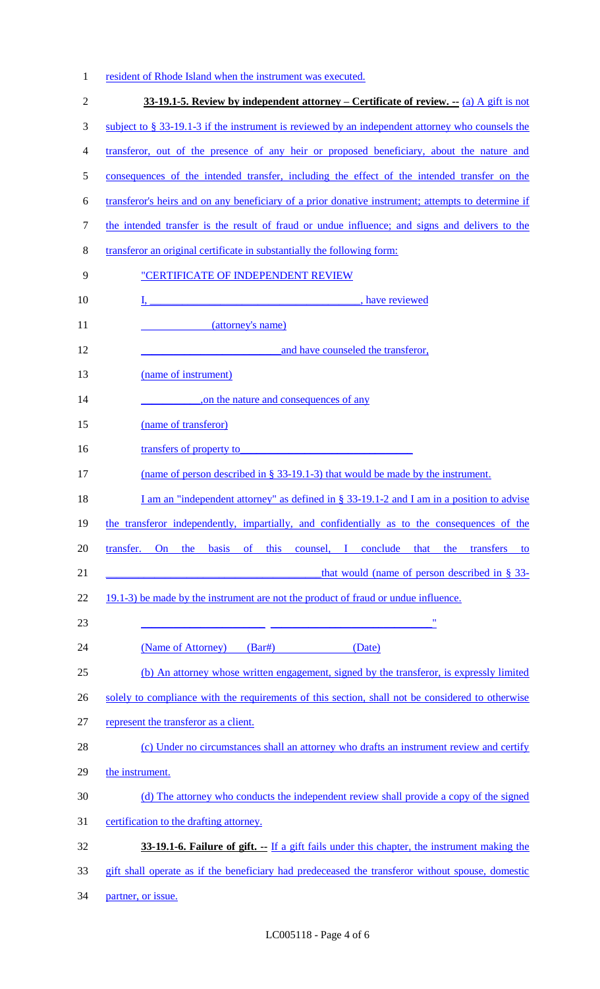|  |  |  | resident of Rhode Island when the instrument was executed. |  |
|--|--|--|------------------------------------------------------------|--|
|  |  |  |                                                            |  |

| $\overline{2}$ | 33-19.1-5. Review by independent attorney – Certificate of review. -- (a) A gift is not                                                                                   |
|----------------|---------------------------------------------------------------------------------------------------------------------------------------------------------------------------|
| $\mathfrak{Z}$ | subject to $\S$ 33-19.1-3 if the instrument is reviewed by an independent attorney who counsels the                                                                       |
| $\overline{4}$ | transferor, out of the presence of any heir or proposed beneficiary, about the nature and                                                                                 |
| 5              | consequences of the intended transfer, including the effect of the intended transfer on the                                                                               |
| 6              | transferor's heirs and on any beneficiary of a prior donative instrument; attempts to determine if                                                                        |
| $\tau$         | the intended transfer is the result of fraud or undue influence; and signs and delivers to the                                                                            |
| $8\,$          | transferor an original certificate in substantially the following form:                                                                                                   |
| 9              | "CERTIFICATE OF INDEPENDENT REVIEW                                                                                                                                        |
| 10             | I. have reviewed                                                                                                                                                          |
| 11             | (attorney's name)                                                                                                                                                         |
| 12             | and have counseled the transferor,                                                                                                                                        |
| 13             | (name of instrument)                                                                                                                                                      |
| 14             | on the nature and consequences of any                                                                                                                                     |
| 15             | (name of transferor)                                                                                                                                                      |
| 16             | transfers of property to                                                                                                                                                  |
| 17             | (name of person described in $\S$ 33-19.1-3) that would be made by the instrument.                                                                                        |
| 18             | I am an "independent attorney" as defined in $\S 33-19.1-2$ and I am in a position to advise                                                                              |
| 19             | the transferor independently, impartially, and confidentially as to the consequences of the                                                                               |
| 20             | transfer.<br>On the basis of this counsel, I conclude that the transfers to                                                                                               |
| 21             | that would (name of person described in $\S$ 33-<br><u> 1990 - Johann Johann Barbara, martxa a shekara 1990 - An tsaran 1990 - An tsaran 1991 - An tsaran 1991 - An t</u> |
| 22             | 19.1-3) be made by the instrument are not the product of fraud or undue influence.                                                                                        |
| 23             | $\pmb{\mathsf{H}}$                                                                                                                                                        |
| 24             | (Name of Attorney)<br>$(Bar\#)$<br>(Date)                                                                                                                                 |
| 25             | (b) An attorney whose written engagement, signed by the transferor, is expressly limited                                                                                  |
| 26             | solely to compliance with the requirements of this section, shall not be considered to otherwise                                                                          |
| 27             | represent the transferor as a client.                                                                                                                                     |
| 28             | (c) Under no circumstances shall an attorney who drafts an instrument review and certify                                                                                  |
| 29             | the instrument.                                                                                                                                                           |
| 30             | (d) The attorney who conducts the independent review shall provide a copy of the signed                                                                                   |
| 31             | certification to the drafting attorney.                                                                                                                                   |
| 32             | <b>33-19.1-6. Failure of gift.</b> -- If a gift fails under this chapter, the instrument making the                                                                       |
| 33             | gift shall operate as if the beneficiary had predeceased the transferor without spouse, domestic                                                                          |
| 34             | partner, or issue.                                                                                                                                                        |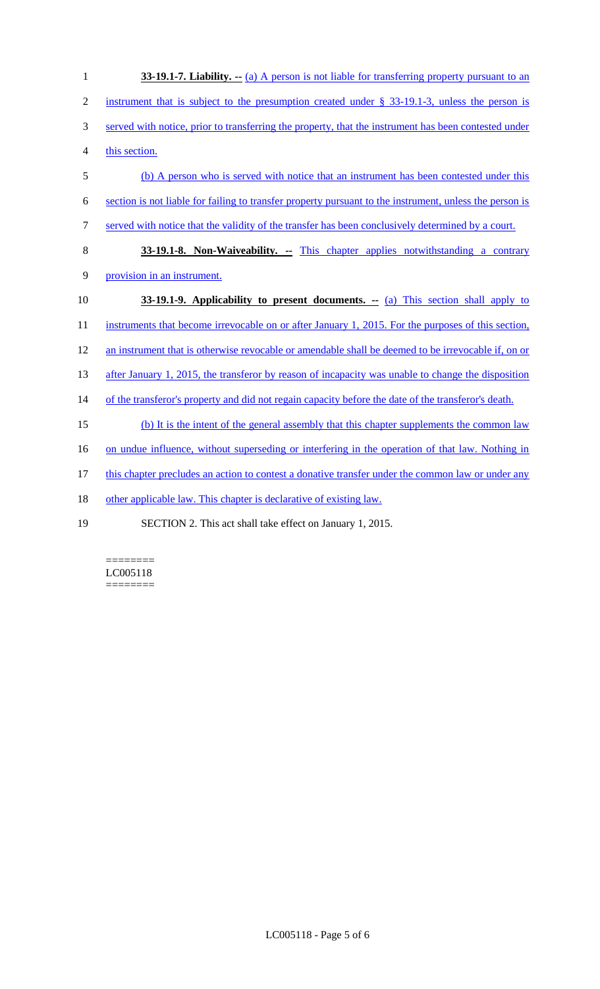| $\mathbf{1}$   | <b>33-19.1-7. Liability.</b> $-$ (a) A person is not liable for transferring property pursuant to an    |
|----------------|---------------------------------------------------------------------------------------------------------|
| $\overline{2}$ | instrument that is subject to the presumption created under $\S$ 33-19.1-3, unless the person is        |
| 3              | served with notice, prior to transferring the property, that the instrument has been contested under    |
| $\overline{4}$ | this section.                                                                                           |
| 5              | (b) A person who is served with notice that an instrument has been contested under this                 |
| 6              | section is not liable for failing to transfer property pursuant to the instrument, unless the person is |
| $\tau$         | served with notice that the validity of the transfer has been conclusively determined by a court.       |
| 8              | <b>33-19.1-8. Non-Waiveability.</b> -- This chapter applies notwithstanding a contrary                  |
| 9              | provision in an instrument.                                                                             |
| 10             | <b>33-19.1-9.</b> Applicability to present documents. -- (a) This section shall apply to                |
| 11             | instruments that become irrevocable on or after January 1, 2015. For the purposes of this section,      |
| 12             | an instrument that is otherwise revocable or amendable shall be deemed to be irrevocable if, on or      |
| 13             | after January 1, 2015, the transferor by reason of incapacity was unable to change the disposition      |
| 14             | of the transferor's property and did not regain capacity before the date of the transferor's death.     |
| 15             | (b) It is the intent of the general assembly that this chapter supplements the common law               |
| 16             | on undue influence, without superseding or interfering in the operation of that law. Nothing in         |
| 17             | this chapter precludes an action to contest a donative transfer under the common law or under any       |
| 18             | other applicable law. This chapter is declarative of existing law.                                      |
| 19             | SECTION 2. This act shall take effect on January 1, 2015.                                               |

======== LC005118 ========